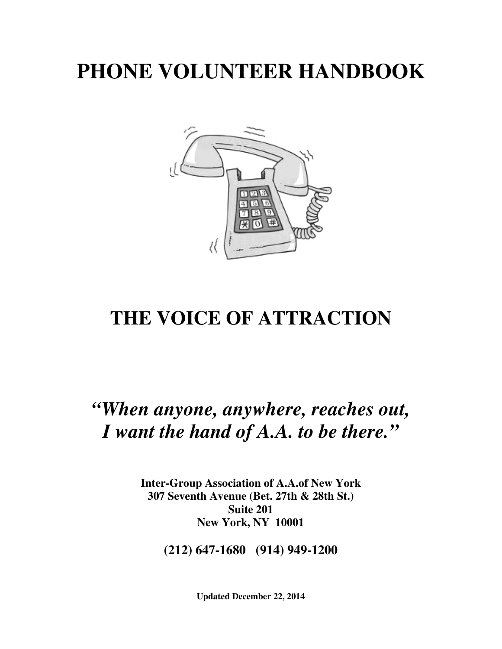# **PHONE VOLUNTEER HANDBOOK**



## **THE VOICE OF ATTRACTION**

## *"When anyone, anywhere, reaches out, I want the hand of A.A. to be there."*

**Inter-Group Association of A.A.of New York 307 Seventh Avenue (Bet. 27th & 28th St.) Suite 201 New York, NY 10001** 

**(212) 647-1680 (914) 949-1200** 

**Updated December 22, 2014**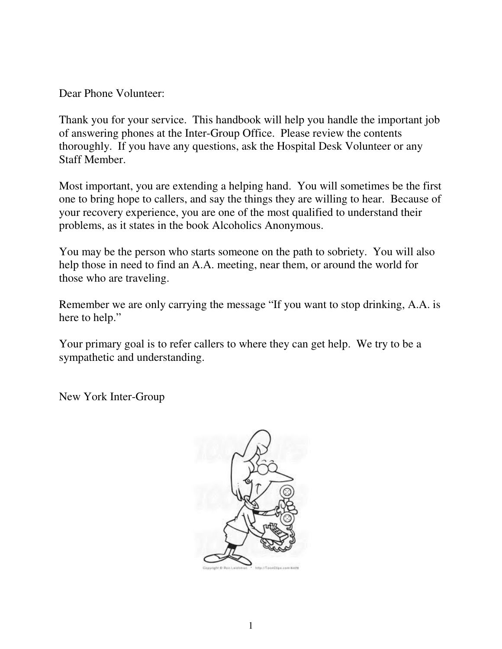Dear Phone Volunteer:

Thank you for your service. This handbook will help you handle the important job of answering phones at the Inter-Group Office. Please review the contents thoroughly. If you have any questions, ask the Hospital Desk Volunteer or any Staff Member.

Most important, you are extending a helping hand. You will sometimes be the first one to bring hope to callers, and say the things they are willing to hear. Because of your recovery experience, you are one of the most qualified to understand their problems, as it states in the book Alcoholics Anonymous.

You may be the person who starts someone on the path to sobriety. You will also help those in need to find an A.A. meeting, near them, or around the world for those who are traveling.

Remember we are only carrying the message "If you want to stop drinking, A.A. is here to help."

Your primary goal is to refer callers to where they can get help. We try to be a sympathetic and understanding.

New York Inter-Group

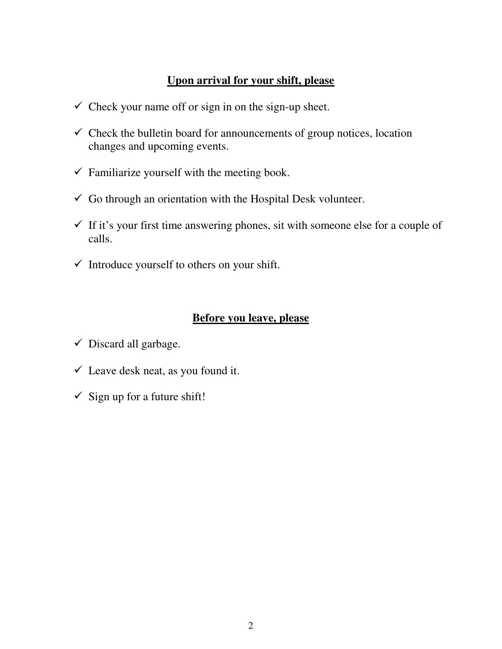### **Upon arrival for your shift, please**

- $\checkmark$  Check your name off or sign in on the sign-up sheet.
- $\checkmark$  Check the bulletin board for announcements of group notices, location changes and upcoming events.
- $\checkmark$  Familiarize yourself with the meeting book.
- $\checkmark$  Go through an orientation with the Hospital Desk volunteer.
- $\checkmark$  If it's your first time answering phones, sit with someone else for a couple of calls.
- $\checkmark$  Introduce yourself to others on your shift.

### **Before you leave, please**

- $\checkmark$  Discard all garbage.
- $\checkmark$  Leave desk neat, as you found it.
- $\checkmark$  Sign up for a future shift!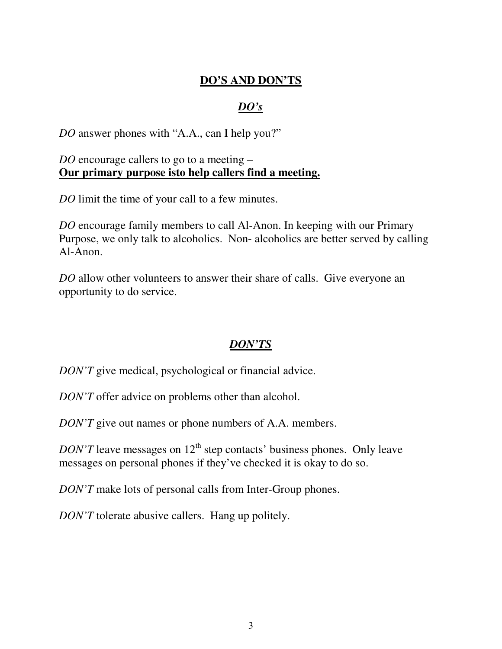## **DO'S AND DON'TS**

## *DO's*

*DO* answer phones with "A.A., can I help you?"

#### *DO* encourage callers to go to a meeting – **Our primary purpose isto help callers find a meeting.**

*DO* limit the time of your call to a few minutes.

*DO* encourage family members to call Al-Anon. In keeping with our Primary Purpose, we only talk to alcoholics. Non- alcoholics are better served by calling Al-Anon.

*DO* allow other volunteers to answer their share of calls. Give everyone an opportunity to do service.

## *DON'TS*

*DON'T* give medical, psychological or financial advice.

*DON'T* offer advice on problems other than alcohol.

*DON'T* give out names or phone numbers of A.A. members.

*DON'T* leave messages on  $12<sup>th</sup>$  step contacts' business phones. Only leave messages on personal phones if they've checked it is okay to do so.

*DON'T* make lots of personal calls from Inter-Group phones.

*DON'T* tolerate abusive callers. Hang up politely.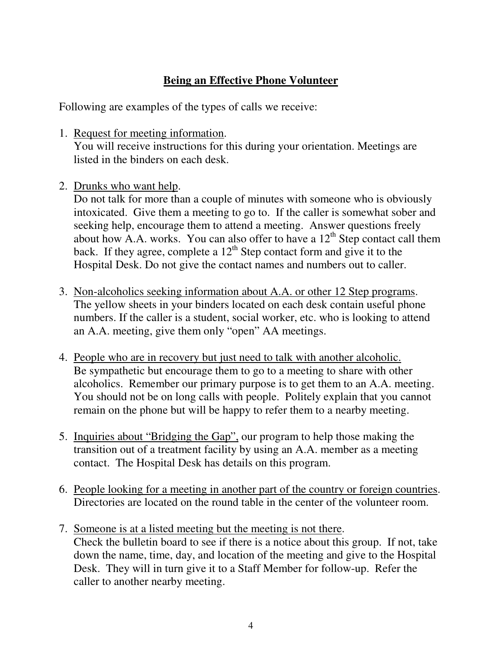## **Being an Effective Phone Volunteer**

Following are examples of the types of calls we receive:

- 1. Request for meeting information. You will receive instructions for this during your orientation. Meetings are listed in the binders on each desk.
- 2. Drunks who want help.

Do not talk for more than a couple of minutes with someone who is obviously intoxicated. Give them a meeting to go to. If the caller is somewhat sober and seeking help, encourage them to attend a meeting. Answer questions freely about how A.A. works. You can also offer to have a  $12<sup>th</sup>$  Step contact call them back. If they agree, complete a  $12<sup>th</sup>$  Step contact form and give it to the Hospital Desk. Do not give the contact names and numbers out to caller.

- 3. Non-alcoholics seeking information about A.A. or other 12 Step programs. The yellow sheets in your binders located on each desk contain useful phone numbers. If the caller is a student, social worker, etc. who is looking to attend an A.A. meeting, give them only "open" AA meetings.
- 4. People who are in recovery but just need to talk with another alcoholic. Be sympathetic but encourage them to go to a meeting to share with other alcoholics. Remember our primary purpose is to get them to an A.A. meeting. You should not be on long calls with people. Politely explain that you cannot remain on the phone but will be happy to refer them to a nearby meeting.
- 5. Inquiries about "Bridging the Gap", our program to help those making the transition out of a treatment facility by using an A.A. member as a meeting contact. The Hospital Desk has details on this program.
- 6. People looking for a meeting in another part of the country or foreign countries. Directories are located on the round table in the center of the volunteer room.
- 7. Someone is at a listed meeting but the meeting is not there. Check the bulletin board to see if there is a notice about this group. If not, take down the name, time, day, and location of the meeting and give to the Hospital Desk. They will in turn give it to a Staff Member for follow-up. Refer the caller to another nearby meeting.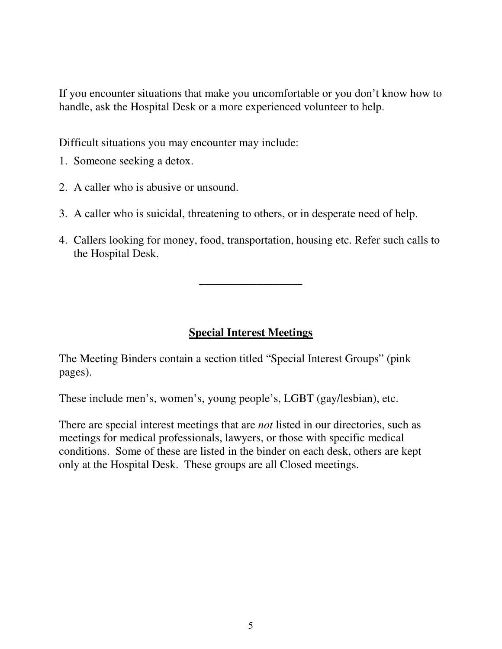If you encounter situations that make you uncomfortable or you don't know how to handle, ask the Hospital Desk or a more experienced volunteer to help.

Difficult situations you may encounter may include:

- 1. Someone seeking a detox.
- 2. A caller who is abusive or unsound.
- 3. A caller who is suicidal, threatening to others, or in desperate need of help.
- 4. Callers looking for money, food, transportation, housing etc. Refer such calls to the Hospital Desk.

\_\_\_\_\_\_\_\_\_\_\_\_\_\_\_\_\_\_

## **Special Interest Meetings**

The Meeting Binders contain a section titled "Special Interest Groups" (pink pages).

These include men's, women's, young people's, LGBT (gay/lesbian), etc.

There are special interest meetings that are *not* listed in our directories, such as meetings for medical professionals, lawyers, or those with specific medical conditions. Some of these are listed in the binder on each desk, others are kept only at the Hospital Desk. These groups are all Closed meetings.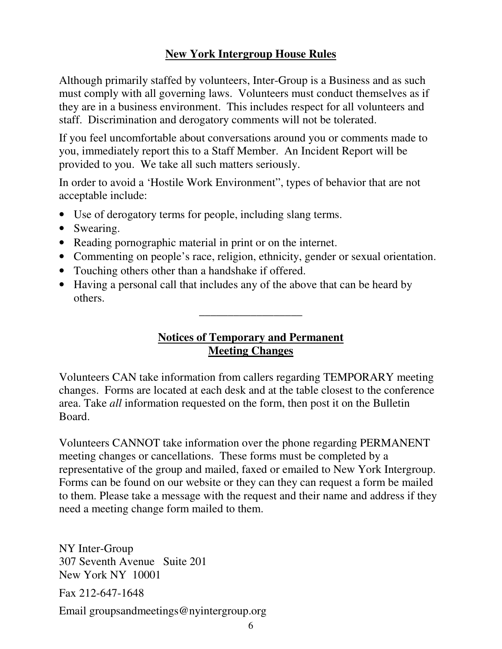## **New York Intergroup House Rules**

Although primarily staffed by volunteers, Inter-Group is a Business and as such must comply with all governing laws. Volunteers must conduct themselves as if they are in a business environment. This includes respect for all volunteers and staff. Discrimination and derogatory comments will not be tolerated.

If you feel uncomfortable about conversations around you or comments made to you, immediately report this to a Staff Member. An Incident Report will be provided to you. We take all such matters seriously.

In order to avoid a 'Hostile Work Environment", types of behavior that are not acceptable include:

- Use of derogatory terms for people, including slang terms.
- Swearing.
- Reading pornographic material in print or on the internet.
- Commenting on people's race, religion, ethnicity, gender or sexual orientation.
- Touching others other than a handshake if offered.
- Having a personal call that includes any of the above that can be heard by others.

### **Notices of Temporary and Permanent Meeting Changes**

\_\_\_\_\_\_\_\_\_\_\_\_\_\_\_\_\_\_

Volunteers CAN take information from callers regarding TEMPORARY meeting changes. Forms are located at each desk and at the table closest to the conference area. Take *all* information requested on the form, then post it on the Bulletin Board.

Volunteers CANNOT take information over the phone regarding PERMANENT meeting changes or cancellations. These forms must be completed by a representative of the group and mailed, faxed or emailed to New York Intergroup. Forms can be found on our website or they can they can request a form be mailed to them. Please take a message with the request and their name and address if they need a meeting change form mailed to them.

NY Inter-Group 307 Seventh Avenue Suite 201 New York NY 10001

Fax 212-647-1648

Email groupsandmeetings@nyintergroup.org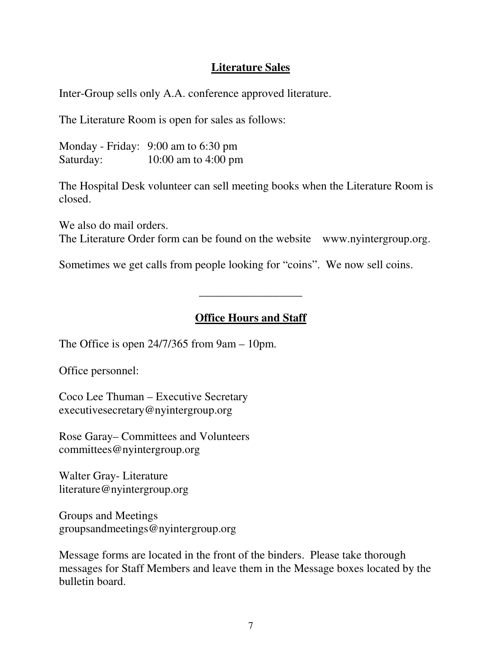#### **Literature Sales**

Inter-Group sells only A.A. conference approved literature.

The Literature Room is open for sales as follows:

Monday - Friday: 9:00 am to 6:30 pm Saturday: 10:00 am to 4:00 pm

The Hospital Desk volunteer can sell meeting books when the Literature Room is closed.

We also do mail orders. The Literature Order form can be found on the website www.nyintergroup.org.

Sometimes we get calls from people looking for "coins". We now sell coins.

#### **Office Hours and Staff**

\_\_\_\_\_\_\_\_\_\_\_\_\_\_\_\_\_\_

The Office is open 24/7/365 from 9am – 10pm.

Office personnel:

Coco Lee Thuman – Executive Secretary executivesecretary@nyintergroup.org

Rose Garay– Committees and Volunteers committees@nyintergroup.org

Walter Gray- Literature literature@nyintergroup.org

Groups and Meetings groupsandmeetings@nyintergroup.org

Message forms are located in the front of the binders. Please take thorough messages for Staff Members and leave them in the Message boxes located by the bulletin board.